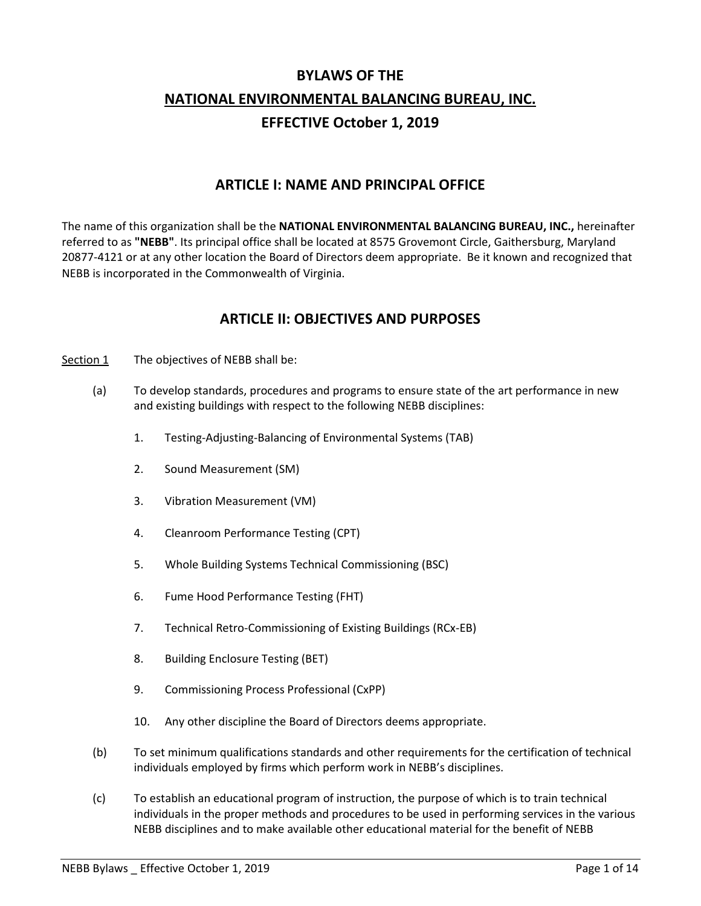# **BYLAWS OF THE NATIONAL ENVIRONMENTAL BALANCING BUREAU, INC. EFFECTIVE October 1, 2019**

#### **ARTICLE I: NAME AND PRINCIPAL OFFICE**

The name of this organization shall be the **NATIONAL ENVIRONMENTAL BALANCING BUREAU, INC.,** hereinafter referred to as **"NEBB"**. Its principal office shall be located at 8575 Grovemont Circle, Gaithersburg, Maryland 20877-4121 or at any other location the Board of Directors deem appropriate. Be it known and recognized that NEBB is incorporated in the Commonwealth of Virginia.

### **ARTICLE II: OBJECTIVES AND PURPOSES**

- Section 1 The objectives of NEBB shall be:
	- (a) To develop standards, procedures and programs to ensure state of the art performance in new and existing buildings with respect to the following NEBB disciplines:
		- 1. Testing-Adjusting-Balancing of Environmental Systems (TAB)
		- 2. Sound Measurement (SM)
		- 3. Vibration Measurement (VM)
		- 4. Cleanroom Performance Testing (CPT)
		- 5. Whole Building Systems Technical Commissioning (BSC)
		- 6. Fume Hood Performance Testing (FHT)
		- 7. Technical Retro-Commissioning of Existing Buildings (RCx-EB)
		- 8. Building Enclosure Testing (BET)
		- 9. Commissioning Process Professional (CxPP)
		- 10. Any other discipline the Board of Directors deems appropriate.
	- (b) To set minimum qualifications standards and other requirements for the certification of technical individuals employed by firms which perform work in NEBB's disciplines.
	- (c) To establish an educational program of instruction, the purpose of which is to train technical individuals in the proper methods and procedures to be used in performing services in the various NEBB disciplines and to make available other educational material for the benefit of NEBB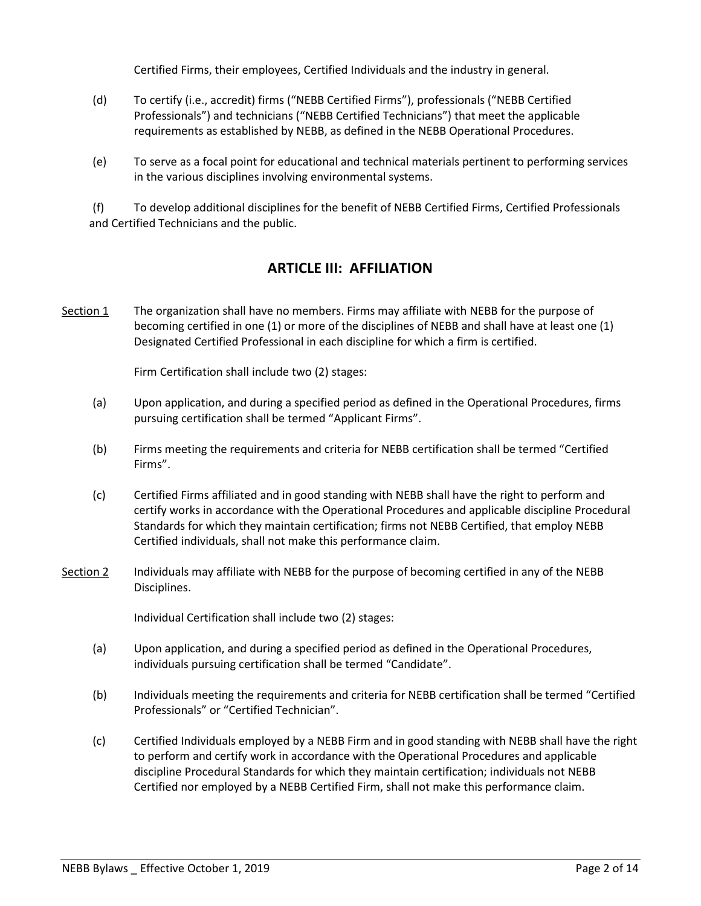Certified Firms, their employees, Certified Individuals and the industry in general.

- (d) To certify (i.e., accredit) firms ("NEBB Certified Firms"), professionals ("NEBB Certified Professionals") and technicians ("NEBB Certified Technicians") that meet the applicable requirements as established by NEBB, as defined in the NEBB Operational Procedures.
- (e) To serve as a focal point for educational and technical materials pertinent to performing services in the various disciplines involving environmental systems.

(f) To develop additional disciplines for the benefit of NEBB Certified Firms, Certified Professionals and Certified Technicians and the public.

## **ARTICLE III: AFFILIATION**

Section 1 The organization shall have no members. Firms may affiliate with NEBB for the purpose of becoming certified in one (1) or more of the disciplines of NEBB and shall have at least one (1) Designated Certified Professional in each discipline for which a firm is certified.

Firm Certification shall include two (2) stages:

- (a) Upon application, and during a specified period as defined in the Operational Procedures, firms pursuing certification shall be termed "Applicant Firms".
- (b) Firms meeting the requirements and criteria for NEBB certification shall be termed "Certified Firms".
- (c) Certified Firms affiliated and in good standing with NEBB shall have the right to perform and certify works in accordance with the Operational Procedures and applicable discipline Procedural Standards for which they maintain certification; firms not NEBB Certified, that employ NEBB Certified individuals, shall not make this performance claim.
- Section 2 Individuals may affiliate with NEBB for the purpose of becoming certified in any of the NEBB Disciplines.

Individual Certification shall include two (2) stages:

- (a) Upon application, and during a specified period as defined in the Operational Procedures, individuals pursuing certification shall be termed "Candidate".
- (b) Individuals meeting the requirements and criteria for NEBB certification shall be termed "Certified Professionals" or "Certified Technician".
- (c) Certified Individuals employed by a NEBB Firm and in good standing with NEBB shall have the right to perform and certify work in accordance with the Operational Procedures and applicable discipline Procedural Standards for which they maintain certification; individuals not NEBB Certified nor employed by a NEBB Certified Firm, shall not make this performance claim.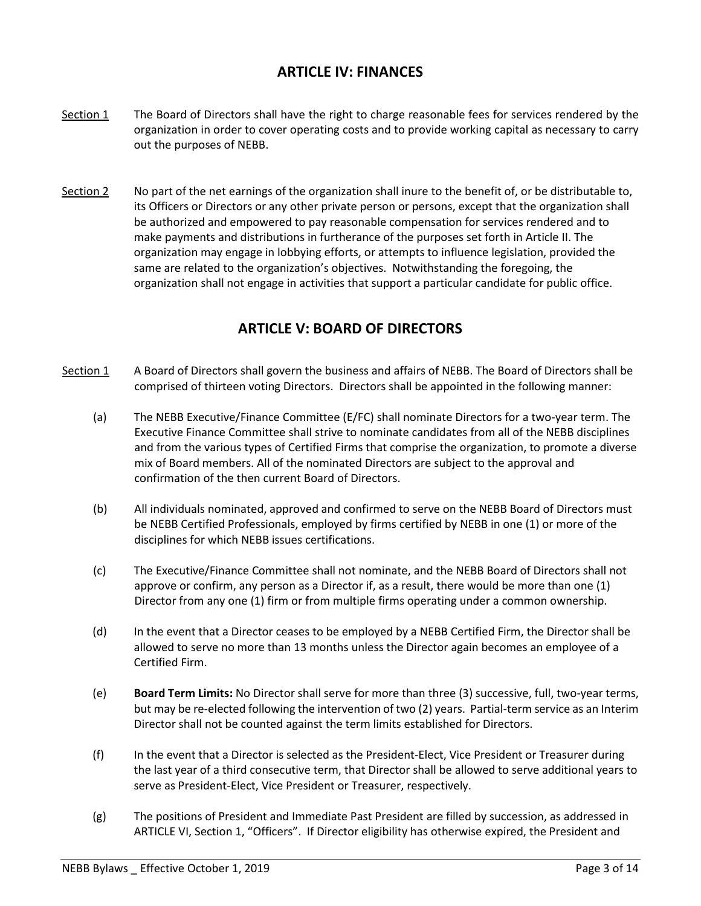## **ARTICLE IV: FINANCES**

- Section 1 The Board of Directors shall have the right to charge reasonable fees for services rendered by the organization in order to cover operating costs and to provide working capital as necessary to carry out the purposes of NEBB.
- Section 2 No part of the net earnings of the organization shall inure to the benefit of, or be distributable to, its Officers or Directors or any other private person or persons, except that the organization shall be authorized and empowered to pay reasonable compensation for services rendered and to make payments and distributions in furtherance of the purposes set forth in Article II. The organization may engage in lobbying efforts, or attempts to influence legislation, provided the same are related to the organization's objectives. Notwithstanding the foregoing, the organization shall not engage in activities that support a particular candidate for public office.

## **ARTICLE V: BOARD OF DIRECTORS**

- Section 1 A Board of Directors shall govern the business and affairs of NEBB. The Board of Directors shall be comprised of thirteen voting Directors. Directors shall be appointed in the following manner:
	- (a) The NEBB Executive/Finance Committee (E/FC) shall nominate Directors for a two-year term. The Executive Finance Committee shall strive to nominate candidates from all of the NEBB disciplines and from the various types of Certified Firms that comprise the organization, to promote a diverse mix of Board members. All of the nominated Directors are subject to the approval and confirmation of the then current Board of Directors.
	- (b) All individuals nominated, approved and confirmed to serve on the NEBB Board of Directors must be NEBB Certified Professionals, employed by firms certified by NEBB in one (1) or more of the disciplines for which NEBB issues certifications.
	- (c) The Executive/Finance Committee shall not nominate, and the NEBB Board of Directors shall not approve or confirm, any person as a Director if, as a result, there would be more than one (1) Director from any one (1) firm or from multiple firms operating under a common ownership.
	- (d) In the event that a Director ceases to be employed by a NEBB Certified Firm, the Director shall be allowed to serve no more than 13 months unless the Director again becomes an employee of a Certified Firm.
	- (e) **Board Term Limits:** No Director shall serve for more than three (3) successive, full, two-year terms, but may be re-elected following the intervention of two (2) years. Partial-term service as an Interim Director shall not be counted against the term limits established for Directors.
	- (f) In the event that a Director is selected as the President-Elect, Vice President or Treasurer during the last year of a third consecutive term, that Director shall be allowed to serve additional years to serve as President-Elect, Vice President or Treasurer, respectively.
	- (g) The positions of President and Immediate Past President are filled by succession, as addressed in ARTICLE VI, Section 1, "Officers". If Director eligibility has otherwise expired, the President and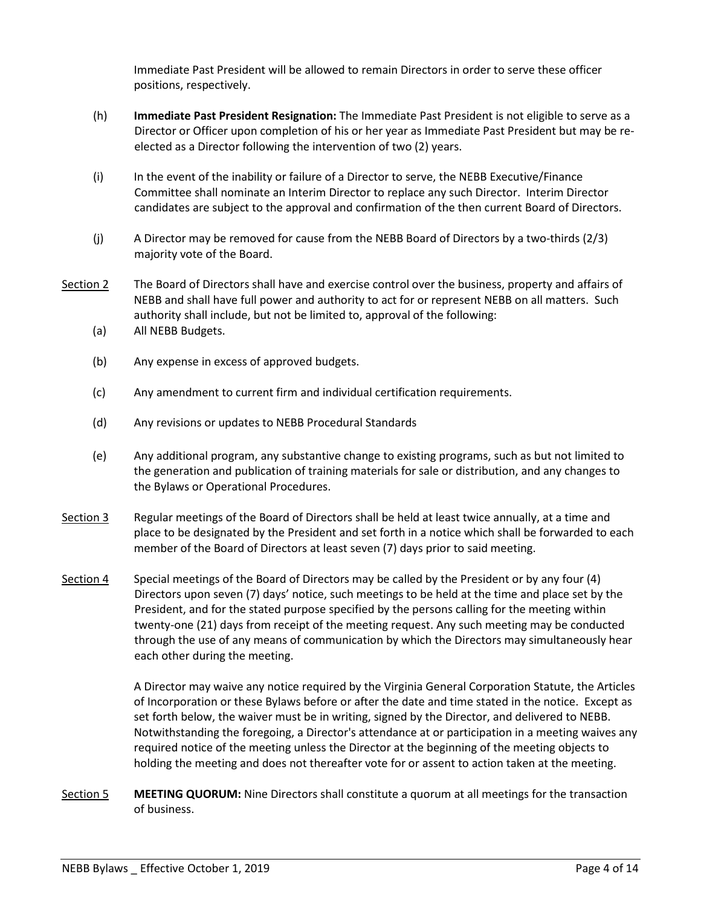Immediate Past President will be allowed to remain Directors in order to serve these officer positions, respectively.

- (h) **Immediate Past President Resignation:** The Immediate Past President is not eligible to serve as a Director or Officer upon completion of his or her year as Immediate Past President but may be reelected as a Director following the intervention of two (2) years.
- (i) In the event of the inability or failure of a Director to serve, the NEBB Executive/Finance Committee shall nominate an Interim Director to replace any such Director. Interim Director candidates are subject to the approval and confirmation of the then current Board of Directors.
- (j) A Director may be removed for cause from the NEBB Board of Directors by a two-thirds (2/3) majority vote of the Board.
- Section 2 The Board of Directors shall have and exercise control over the business, property and affairs of NEBB and shall have full power and authority to act for or represent NEBB on all matters. Such authority shall include, but not be limited to, approval of the following:
	- (a) All NEBB Budgets.
	- (b) Any expense in excess of approved budgets.
	- (c) Any amendment to current firm and individual certification requirements.
	- (d) Any revisions or updates to NEBB Procedural Standards
	- (e) Any additional program, any substantive change to existing programs, such as but not limited to the generation and publication of training materials for sale or distribution, and any changes to the Bylaws or Operational Procedures.
- Section 3 Regular meetings of the Board of Directors shall be held at least twice annually, at a time and place to be designated by the President and set forth in a notice which shall be forwarded to each member of the Board of Directors at least seven (7) days prior to said meeting.
- Section 4 Special meetings of the Board of Directors may be called by the President or by any four (4) Directors upon seven (7) days' notice, such meetings to be held at the time and place set by the President, and for the stated purpose specified by the persons calling for the meeting within twenty-one (21) days from receipt of the meeting request. Any such meeting may be conducted through the use of any means of communication by which the Directors may simultaneously hear each other during the meeting.

A Director may waive any notice required by the Virginia General Corporation Statute, the Articles of Incorporation or these Bylaws before or after the date and time stated in the notice. Except as set forth below, the waiver must be in writing, signed by the Director, and delivered to NEBB. Notwithstanding the foregoing, a Director's attendance at or participation in a meeting waives any required notice of the meeting unless the Director at the beginning of the meeting objects to holding the meeting and does not thereafter vote for or assent to action taken at the meeting.

Section 5 **MEETING QUORUM:** Nine Directors shall constitute a quorum at all meetings for the transaction of business.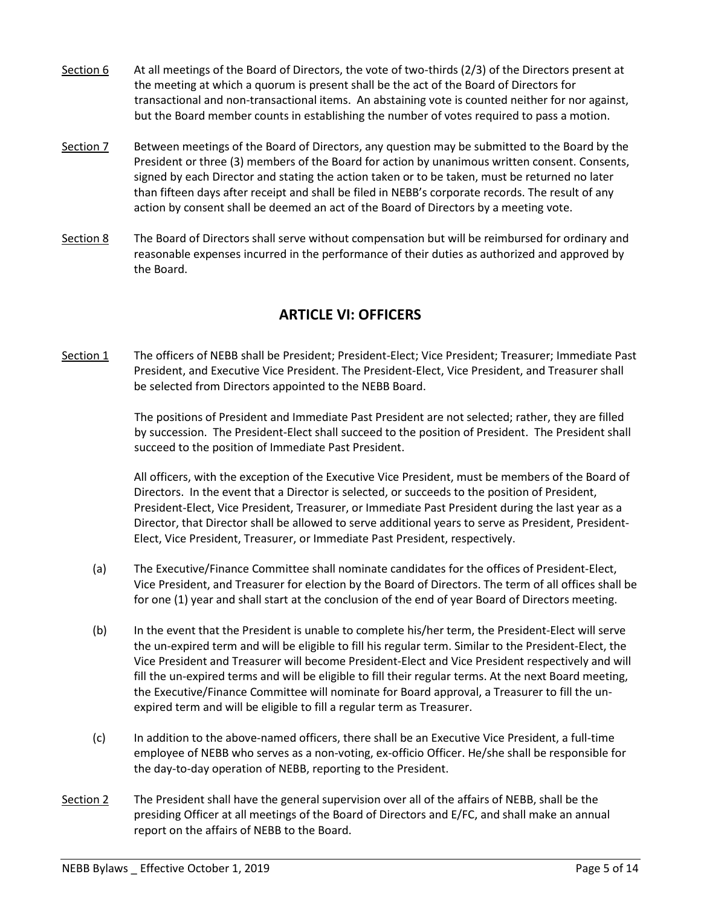- Section 6 At all meetings of the Board of Directors, the vote of two-thirds (2/3) of the Directors present at the meeting at which a quorum is present shall be the act of the Board of Directors for transactional and non-transactional items. An abstaining vote is counted neither for nor against, but the Board member counts in establishing the number of votes required to pass a motion.
- Section 7 Between meetings of the Board of Directors, any question may be submitted to the Board by the President or three (3) members of the Board for action by unanimous written consent. Consents, signed by each Director and stating the action taken or to be taken, must be returned no later than fifteen days after receipt and shall be filed in NEBB's corporate records. The result of any action by consent shall be deemed an act of the Board of Directors by a meeting vote.
- Section 8 The Board of Directors shall serve without compensation but will be reimbursed for ordinary and reasonable expenses incurred in the performance of their duties as authorized and approved by the Board.

## **ARTICLE VI: OFFICERS**

Section 1 The officers of NEBB shall be President; President-Elect; Vice President; Treasurer; Immediate Past President, and Executive Vice President. The President-Elect, Vice President, and Treasurer shall be selected from Directors appointed to the NEBB Board.

> The positions of President and Immediate Past President are not selected; rather, they are filled by succession. The President-Elect shall succeed to the position of President. The President shall succeed to the position of Immediate Past President.

> All officers, with the exception of the Executive Vice President, must be members of the Board of Directors. In the event that a Director is selected, or succeeds to the position of President, President-Elect, Vice President, Treasurer, or Immediate Past President during the last year as a Director, that Director shall be allowed to serve additional years to serve as President, President-Elect, Vice President, Treasurer, or Immediate Past President, respectively.

- (a) The Executive/Finance Committee shall nominate candidates for the offices of President-Elect, Vice President, and Treasurer for election by the Board of Directors. The term of all offices shall be for one (1) year and shall start at the conclusion of the end of year Board of Directors meeting.
- (b) In the event that the President is unable to complete his/her term, the President-Elect will serve the un-expired term and will be eligible to fill his regular term. Similar to the President-Elect, the Vice President and Treasurer will become President-Elect and Vice President respectively and will fill the un-expired terms and will be eligible to fill their regular terms. At the next Board meeting, the Executive/Finance Committee will nominate for Board approval, a Treasurer to fill the unexpired term and will be eligible to fill a regular term as Treasurer.
- (c) In addition to the above-named officers, there shall be an Executive Vice President, a full-time employee of NEBB who serves as a non-voting, ex-officio Officer. He/she shall be responsible for the day-to-day operation of NEBB, reporting to the President.
- Section 2 The President shall have the general supervision over all of the affairs of NEBB, shall be the presiding Officer at all meetings of the Board of Directors and E/FC, and shall make an annual report on the affairs of NEBB to the Board.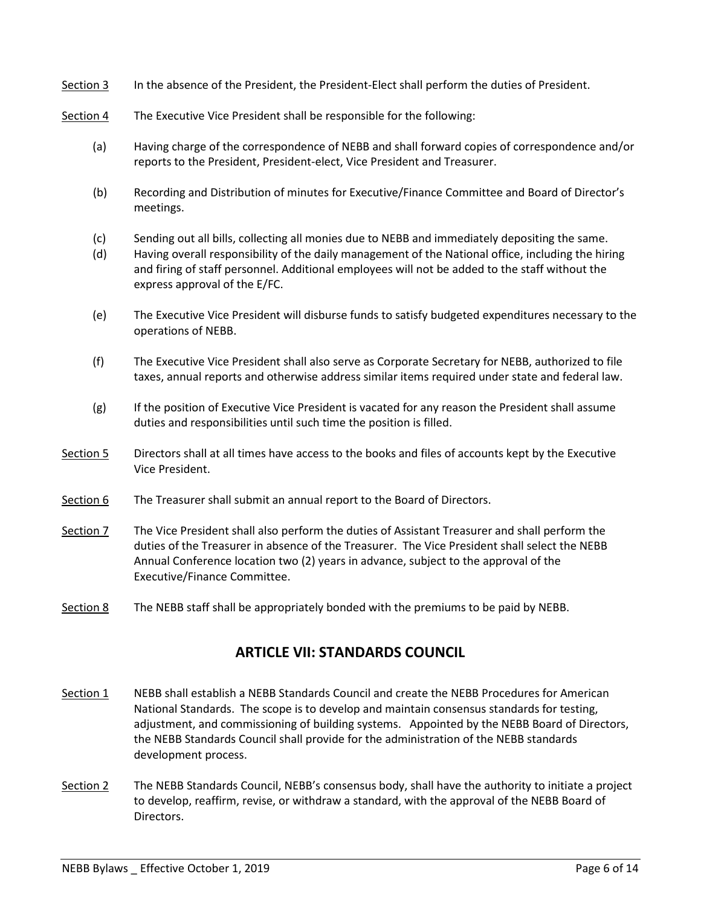- Section 3 In the absence of the President, the President-Elect shall perform the duties of President.
- Section 4 The Executive Vice President shall be responsible for the following:
	- (a) Having charge of the correspondence of NEBB and shall forward copies of correspondence and/or reports to the President, President-elect, Vice President and Treasurer.
	- (b) Recording and Distribution of minutes for Executive/Finance Committee and Board of Director's meetings.
	- (c) Sending out all bills, collecting all monies due to NEBB and immediately depositing the same.
	- (d) Having overall responsibility of the daily management of the National office, including the hiring and firing of staff personnel. Additional employees will not be added to the staff without the express approval of the E/FC.
	- (e) The Executive Vice President will disburse funds to satisfy budgeted expenditures necessary to the operations of NEBB.
	- (f) The Executive Vice President shall also serve as Corporate Secretary for NEBB, authorized to file taxes, annual reports and otherwise address similar items required under state and federal law.
	- (g) If the position of Executive Vice President is vacated for any reason the President shall assume duties and responsibilities until such time the position is filled.
- Section 5 Directors shall at all times have access to the books and files of accounts kept by the Executive Vice President.
- Section 6 The Treasurer shall submit an annual report to the Board of Directors.

Section 7 The Vice President shall also perform the duties of Assistant Treasurer and shall perform the duties of the Treasurer in absence of the Treasurer. The Vice President shall select the NEBB Annual Conference location two (2) years in advance, subject to the approval of the Executive/Finance Committee.

Section 8 The NEBB staff shall be appropriately bonded with the premiums to be paid by NEBB.

#### **ARTICLE VII: STANDARDS COUNCIL**

- Section 1 NEBB shall establish a NEBB Standards Council and create the NEBB Procedures for American National Standards. The scope is to develop and maintain consensus standards for testing, adjustment, and commissioning of building systems. Appointed by the NEBB Board of Directors, the NEBB Standards Council shall provide for the administration of the NEBB standards development process.
- Section 2 The NEBB Standards Council, NEBB's consensus body, shall have the authority to initiate a project to develop, reaffirm, revise, or withdraw a standard, with the approval of the NEBB Board of Directors.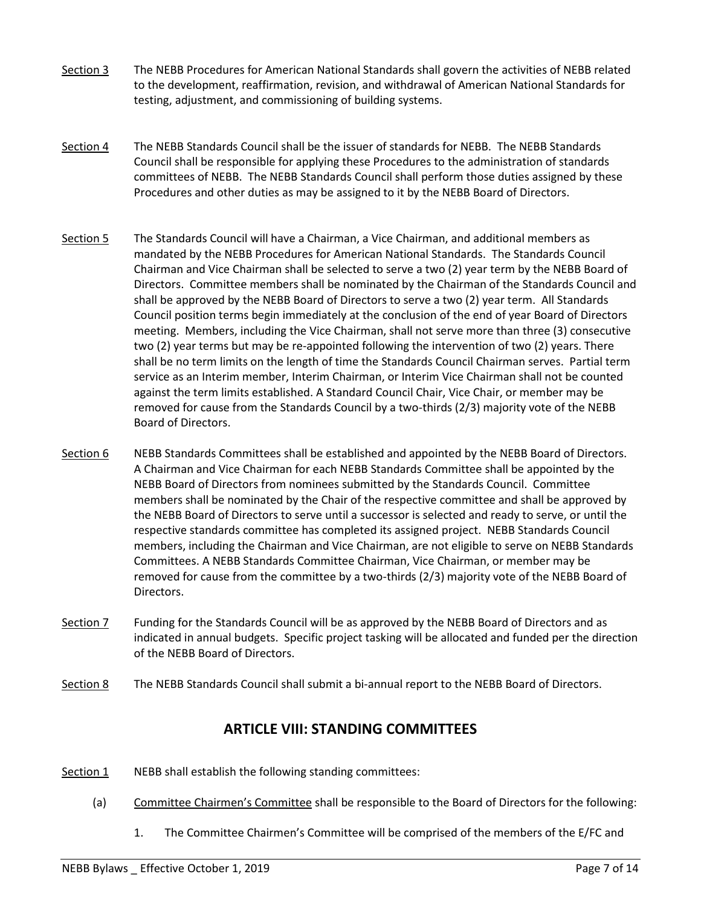- Section 3 The NEBB Procedures for American National Standards shall govern the activities of NEBB related to the development, reaffirmation, revision, and withdrawal of American National Standards for testing, adjustment, and commissioning of building systems.
- Section 4 The NEBB Standards Council shall be the issuer of standards for NEBB. The NEBB Standards Council shall be responsible for applying these Procedures to the administration of standards committees of NEBB. The NEBB Standards Council shall perform those duties assigned by these Procedures and other duties as may be assigned to it by the NEBB Board of Directors.
- Section 5 The Standards Council will have a Chairman, a Vice Chairman, and additional members as mandated by the NEBB Procedures for American National Standards. The Standards Council Chairman and Vice Chairman shall be selected to serve a two (2) year term by the NEBB Board of Directors. Committee members shall be nominated by the Chairman of the Standards Council and shall be approved by the NEBB Board of Directors to serve a two (2) year term. All Standards Council position terms begin immediately at the conclusion of the end of year Board of Directors meeting. Members, including the Vice Chairman, shall not serve more than three (3) consecutive two (2) year terms but may be re-appointed following the intervention of two (2) years. There shall be no term limits on the length of time the Standards Council Chairman serves. Partial term service as an Interim member, Interim Chairman, or Interim Vice Chairman shall not be counted against the term limits established. A Standard Council Chair, Vice Chair, or member may be removed for cause from the Standards Council by a two-thirds (2/3) majority vote of the NEBB Board of Directors.
- Section 6 NEBB Standards Committees shall be established and appointed by the NEBB Board of Directors. A Chairman and Vice Chairman for each NEBB Standards Committee shall be appointed by the NEBB Board of Directors from nominees submitted by the Standards Council. Committee members shall be nominated by the Chair of the respective committee and shall be approved by the NEBB Board of Directors to serve until a successor is selected and ready to serve, or until the respective standards committee has completed its assigned project. NEBB Standards Council members, including the Chairman and Vice Chairman, are not eligible to serve on NEBB Standards Committees. A NEBB Standards Committee Chairman, Vice Chairman, or member may be removed for cause from the committee by a two-thirds (2/3) majority vote of the NEBB Board of Directors.
- Section 7 Funding for the Standards Council will be as approved by the NEBB Board of Directors and as indicated in annual budgets. Specific project tasking will be allocated and funded per the direction of the NEBB Board of Directors.
- Section 8 The NEBB Standards Council shall submit a bi-annual report to the NEBB Board of Directors.

### **ARTICLE VIII: STANDING COMMITTEES**

- Section 1 NEBB shall establish the following standing committees:
	- (a) Committee Chairmen's Committee shall be responsible to the Board of Directors for the following:
		- 1. The Committee Chairmen's Committee will be comprised of the members of the E/FC and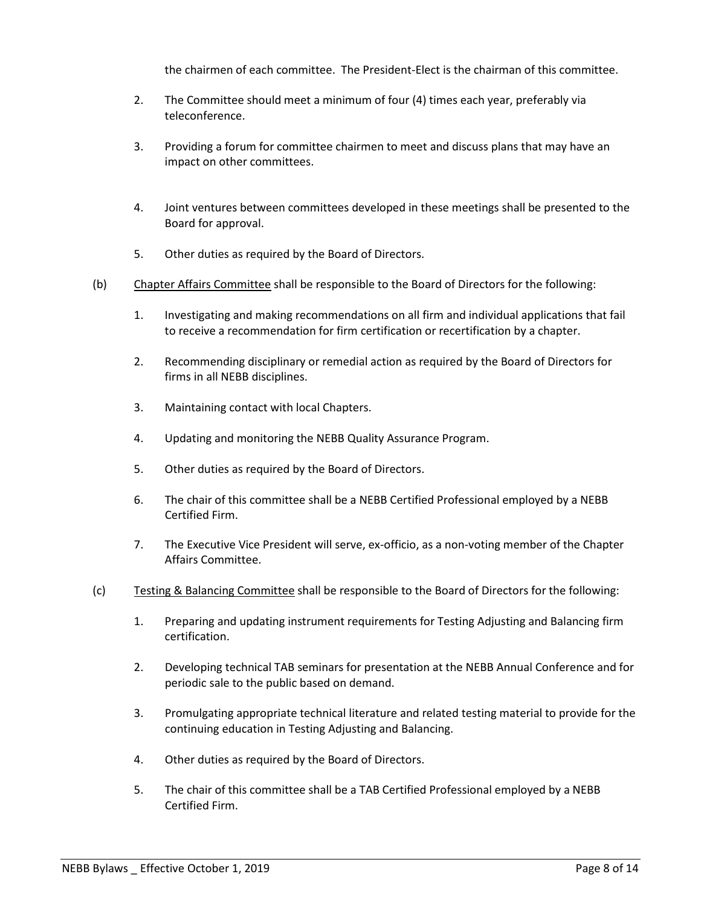the chairmen of each committee. The President-Elect is the chairman of this committee.

- 2. The Committee should meet a minimum of four (4) times each year, preferably via teleconference.
- 3. Providing a forum for committee chairmen to meet and discuss plans that may have an impact on other committees.
- 4. Joint ventures between committees developed in these meetings shall be presented to the Board for approval.
- 5. Other duties as required by the Board of Directors.
- (b) Chapter Affairs Committee shall be responsible to the Board of Directors for the following:
	- 1. Investigating and making recommendations on all firm and individual applications that fail to receive a recommendation for firm certification or recertification by a chapter.
	- 2. Recommending disciplinary or remedial action as required by the Board of Directors for firms in all NEBB disciplines.
	- 3. Maintaining contact with local Chapters.
	- 4. Updating and monitoring the NEBB Quality Assurance Program.
	- 5. Other duties as required by the Board of Directors.
	- 6. The chair of this committee shall be a NEBB Certified Professional employed by a NEBB Certified Firm.
	- 7. The Executive Vice President will serve, ex-officio, as a non-voting member of the Chapter Affairs Committee.
- (c) Testing & Balancing Committee shall be responsible to the Board of Directors for the following:
	- 1. Preparing and updating instrument requirements for Testing Adjusting and Balancing firm certification.
	- 2. Developing technical TAB seminars for presentation at the NEBB Annual Conference and for periodic sale to the public based on demand.
	- 3. Promulgating appropriate technical literature and related testing material to provide for the continuing education in Testing Adjusting and Balancing.
	- 4. Other duties as required by the Board of Directors.
	- 5. The chair of this committee shall be a TAB Certified Professional employed by a NEBB Certified Firm.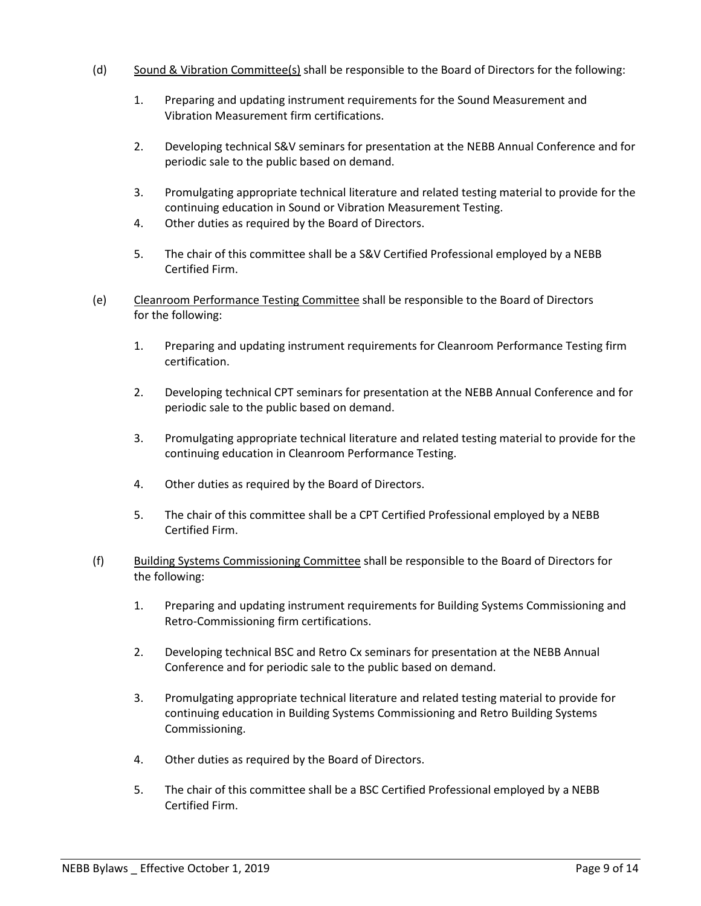- (d) Sound & Vibration Committee(s) shall be responsible to the Board of Directors for the following:
	- 1. Preparing and updating instrument requirements for the Sound Measurement and Vibration Measurement firm certifications.
	- 2. Developing technical S&V seminars for presentation at the NEBB Annual Conference and for periodic sale to the public based on demand.
	- 3. Promulgating appropriate technical literature and related testing material to provide for the continuing education in Sound or Vibration Measurement Testing.
	- 4. Other duties as required by the Board of Directors.
	- 5. The chair of this committee shall be a S&V Certified Professional employed by a NEBB Certified Firm.
- (e) Cleanroom Performance Testing Committee shall be responsible to the Board of Directors for the following:
	- 1. Preparing and updating instrument requirements for Cleanroom Performance Testing firm certification.
	- 2. Developing technical CPT seminars for presentation at the NEBB Annual Conference and for periodic sale to the public based on demand.
	- 3. Promulgating appropriate technical literature and related testing material to provide for the continuing education in Cleanroom Performance Testing.
	- 4. Other duties as required by the Board of Directors.
	- 5. The chair of this committee shall be a CPT Certified Professional employed by a NEBB Certified Firm.
- (f) Building Systems Commissioning Committee shall be responsible to the Board of Directors for the following:
	- 1. Preparing and updating instrument requirements for Building Systems Commissioning and Retro-Commissioning firm certifications.
	- 2. Developing technical BSC and Retro Cx seminars for presentation at the NEBB Annual Conference and for periodic sale to the public based on demand.
	- 3. Promulgating appropriate technical literature and related testing material to provide for continuing education in Building Systems Commissioning and Retro Building Systems Commissioning.
	- 4. Other duties as required by the Board of Directors.
	- 5. The chair of this committee shall be a BSC Certified Professional employed by a NEBB Certified Firm.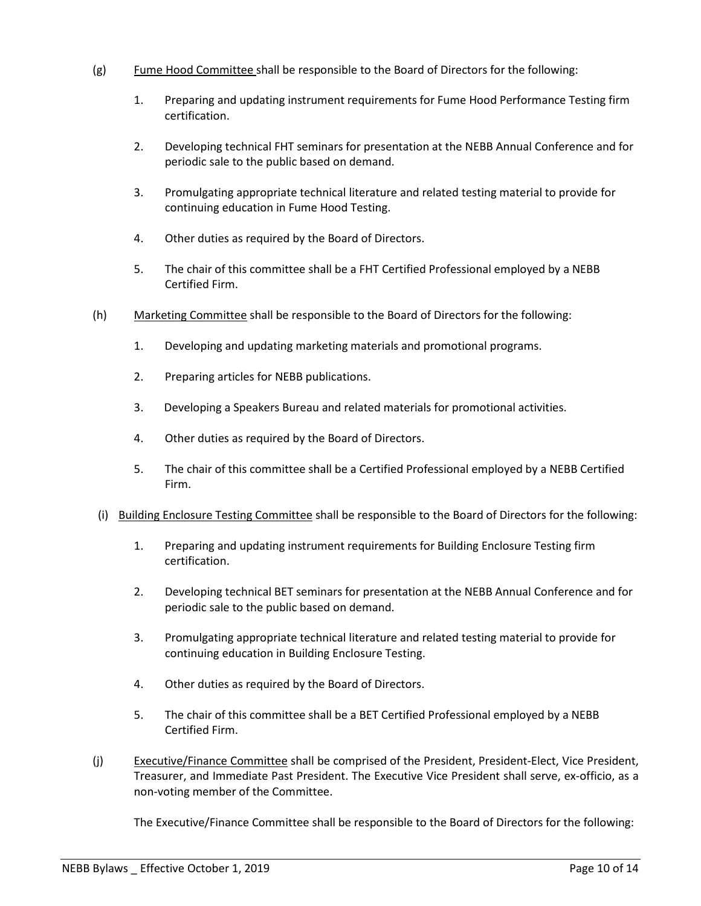- (g) Fume Hood Committee shall be responsible to the Board of Directors for the following:
	- 1. Preparing and updating instrument requirements for Fume Hood Performance Testing firm certification.
	- 2. Developing technical FHT seminars for presentation at the NEBB Annual Conference and for periodic sale to the public based on demand.
	- 3. Promulgating appropriate technical literature and related testing material to provide for continuing education in Fume Hood Testing.
	- 4. Other duties as required by the Board of Directors.
	- 5. The chair of this committee shall be a FHT Certified Professional employed by a NEBB Certified Firm.
- (h) Marketing Committee shall be responsible to the Board of Directors for the following:
	- 1. Developing and updating marketing materials and promotional programs.
	- 2. Preparing articles for NEBB publications.
	- 3. Developing a Speakers Bureau and related materials for promotional activities.
	- 4. Other duties as required by the Board of Directors.
	- 5. The chair of this committee shall be a Certified Professional employed by a NEBB Certified Firm.
- (i) Building Enclosure Testing Committee shall be responsible to the Board of Directors for the following:
	- 1. Preparing and updating instrument requirements for Building Enclosure Testing firm certification.
	- 2. Developing technical BET seminars for presentation at the NEBB Annual Conference and for periodic sale to the public based on demand.
	- 3. Promulgating appropriate technical literature and related testing material to provide for continuing education in Building Enclosure Testing.
	- 4. Other duties as required by the Board of Directors.
	- 5. The chair of this committee shall be a BET Certified Professional employed by a NEBB Certified Firm.
- (j) Executive/Finance Committee shall be comprised of the President, President-Elect, Vice President, Treasurer, and Immediate Past President. The Executive Vice President shall serve, ex-officio, as a non-voting member of the Committee.

The Executive/Finance Committee shall be responsible to the Board of Directors for the following: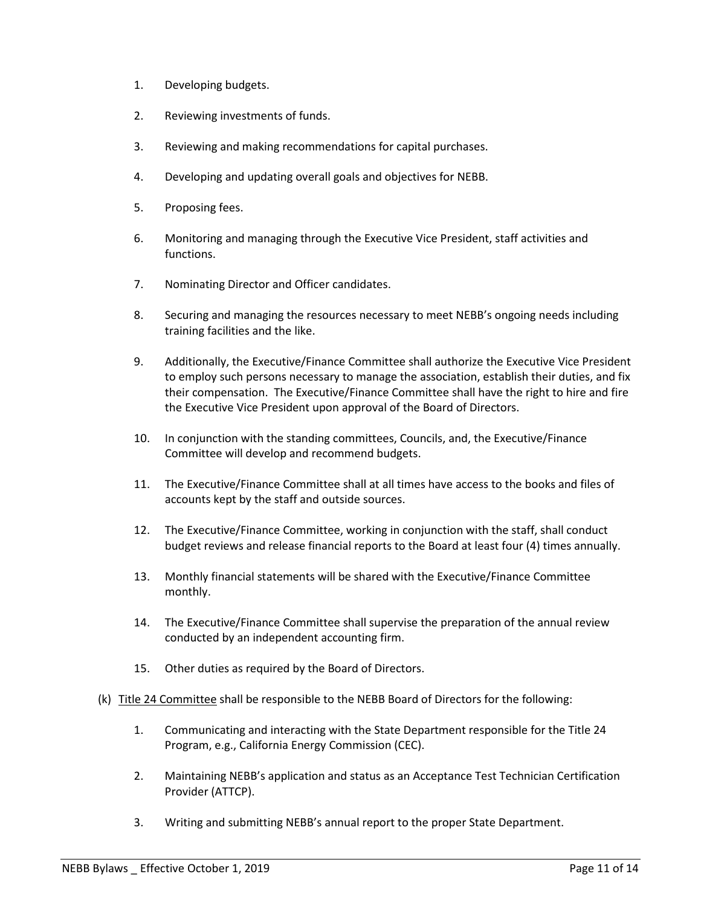- 1. Developing budgets.
- 2. Reviewing investments of funds.
- 3. Reviewing and making recommendations for capital purchases.
- 4. Developing and updating overall goals and objectives for NEBB.
- 5. Proposing fees.
- 6. Monitoring and managing through the Executive Vice President, staff activities and functions.
- 7. Nominating Director and Officer candidates.
- 8. Securing and managing the resources necessary to meet NEBB's ongoing needs including training facilities and the like.
- 9. Additionally, the Executive/Finance Committee shall authorize the Executive Vice President to employ such persons necessary to manage the association, establish their duties, and fix their compensation. The Executive/Finance Committee shall have the right to hire and fire the Executive Vice President upon approval of the Board of Directors.
- 10. In conjunction with the standing committees, Councils, and, the Executive/Finance Committee will develop and recommend budgets.
- 11. The Executive/Finance Committee shall at all times have access to the books and files of accounts kept by the staff and outside sources.
- 12. The Executive/Finance Committee, working in conjunction with the staff, shall conduct budget reviews and release financial reports to the Board at least four (4) times annually.
- 13. Monthly financial statements will be shared with the Executive/Finance Committee monthly.
- 14. The Executive/Finance Committee shall supervise the preparation of the annual review conducted by an independent accounting firm.
- 15. Other duties as required by the Board of Directors.
- (k) Title 24 Committee shall be responsible to the NEBB Board of Directors for the following:
	- 1. Communicating and interacting with the State Department responsible for the Title 24 Program, e.g., California Energy Commission (CEC).
	- 2. Maintaining NEBB's application and status as an Acceptance Test Technician Certification Provider (ATTCP).
	- 3. Writing and submitting NEBB's annual report to the proper State Department.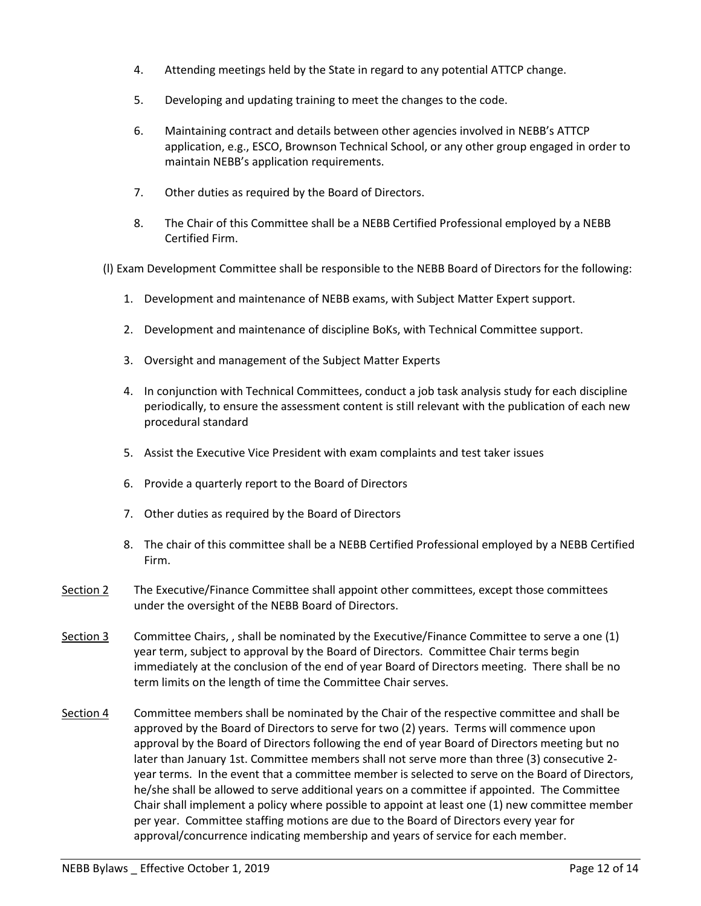- 4. Attending meetings held by the State in regard to any potential ATTCP change.
- 5. Developing and updating training to meet the changes to the code.
- 6. Maintaining contract and details between other agencies involved in NEBB's ATTCP application, e.g., ESCO, Brownson Technical School, or any other group engaged in order to maintain NEBB's application requirements.
- 7. Other duties as required by the Board of Directors.
- 8. The Chair of this Committee shall be a NEBB Certified Professional employed by a NEBB Certified Firm.
- (l) Exam Development Committee shall be responsible to the NEBB Board of Directors for the following:
	- 1. Development and maintenance of NEBB exams, with Subject Matter Expert support.
	- 2. Development and maintenance of discipline BoKs, with Technical Committee support.
	- 3. Oversight and management of the Subject Matter Experts
	- 4. In conjunction with Technical Committees, conduct a job task analysis study for each discipline periodically, to ensure the assessment content is still relevant with the publication of each new procedural standard
	- 5. Assist the Executive Vice President with exam complaints and test taker issues
	- 6. Provide a quarterly report to the Board of Directors
	- 7. Other duties as required by the Board of Directors
	- 8. The chair of this committee shall be a NEBB Certified Professional employed by a NEBB Certified Firm.
- Section 2 The Executive/Finance Committee shall appoint other committees, except those committees under the oversight of the NEBB Board of Directors.
- Section 3 Committee Chairs, , shall be nominated by the Executive/Finance Committee to serve a one (1) year term, subject to approval by the Board of Directors. Committee Chair terms begin immediately at the conclusion of the end of year Board of Directors meeting. There shall be no term limits on the length of time the Committee Chair serves.
- Section 4 Committee members shall be nominated by the Chair of the respective committee and shall be approved by the Board of Directors to serve for two (2) years. Terms will commence upon approval by the Board of Directors following the end of year Board of Directors meeting but no later than January 1st. Committee members shall not serve more than three (3) consecutive 2 year terms. In the event that a committee member is selected to serve on the Board of Directors, he/she shall be allowed to serve additional years on a committee if appointed. The Committee Chair shall implement a policy where possible to appoint at least one (1) new committee member per year. Committee staffing motions are due to the Board of Directors every year for approval/concurrence indicating membership and years of service for each member.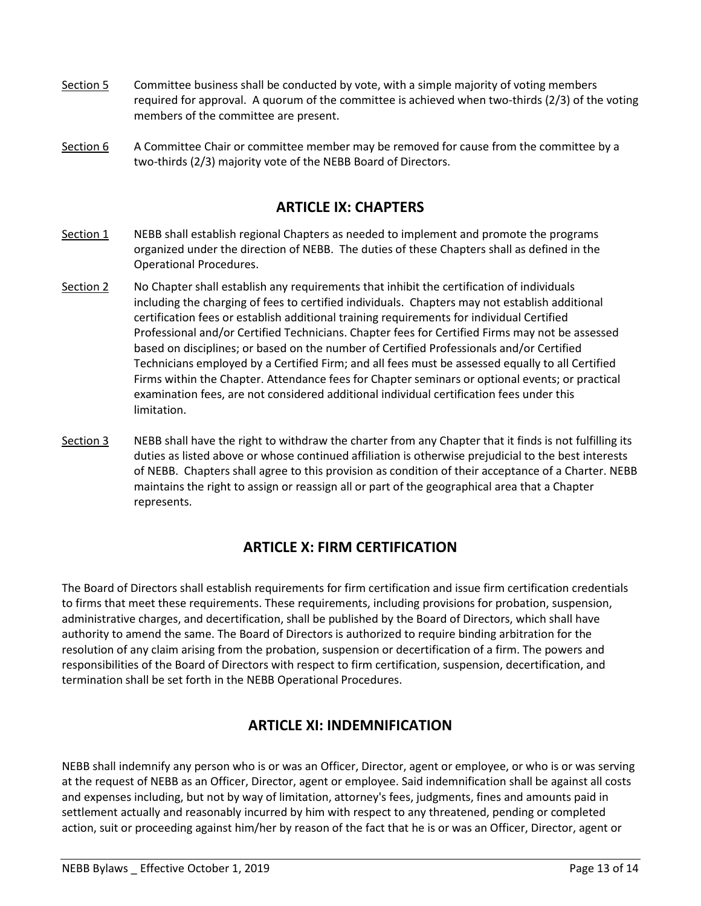- Section 5 Committee business shall be conducted by vote, with a simple majority of voting members required for approval. A quorum of the committee is achieved when two-thirds (2/3) of the voting members of the committee are present.
- Section 6 A Committee Chair or committee member may be removed for cause from the committee by a two-thirds (2/3) majority vote of the NEBB Board of Directors.

## **ARTICLE IX: CHAPTERS**

- Section 1 NEBB shall establish regional Chapters as needed to implement and promote the programs organized under the direction of NEBB. The duties of these Chapters shall as defined in the Operational Procedures.
- Section 2 No Chapter shall establish any requirements that inhibit the certification of individuals including the charging of fees to certified individuals. Chapters may not establish additional certification fees or establish additional training requirements for individual Certified Professional and/or Certified Technicians. Chapter fees for Certified Firms may not be assessed based on disciplines; or based on the number of Certified Professionals and/or Certified Technicians employed by a Certified Firm; and all fees must be assessed equally to all Certified Firms within the Chapter. Attendance fees for Chapter seminars or optional events; or practical examination fees, are not considered additional individual certification fees under this limitation.
- Section 3 NEBB shall have the right to withdraw the charter from any Chapter that it finds is not fulfilling its duties as listed above or whose continued affiliation is otherwise prejudicial to the best interests of NEBB. Chapters shall agree to this provision as condition of their acceptance of a Charter. NEBB maintains the right to assign or reassign all or part of the geographical area that a Chapter represents.

## **ARTICLE X: FIRM CERTIFICATION**

The Board of Directors shall establish requirements for firm certification and issue firm certification credentials to firms that meet these requirements. These requirements, including provisions for probation, suspension, administrative charges, and decertification, shall be published by the Board of Directors, which shall have authority to amend the same. The Board of Directors is authorized to require binding arbitration for the resolution of any claim arising from the probation, suspension or decertification of a firm. The powers and responsibilities of the Board of Directors with respect to firm certification, suspension, decertification, and termination shall be set forth in the NEBB Operational Procedures.

### **ARTICLE XI: INDEMNIFICATION**

NEBB shall indemnify any person who is or was an Officer, Director, agent or employee, or who is or was serving at the request of NEBB as an Officer, Director, agent or employee. Said indemnification shall be against all costs and expenses including, but not by way of limitation, attorney's fees, judgments, fines and amounts paid in settlement actually and reasonably incurred by him with respect to any threatened, pending or completed action, suit or proceeding against him/her by reason of the fact that he is or was an Officer, Director, agent or